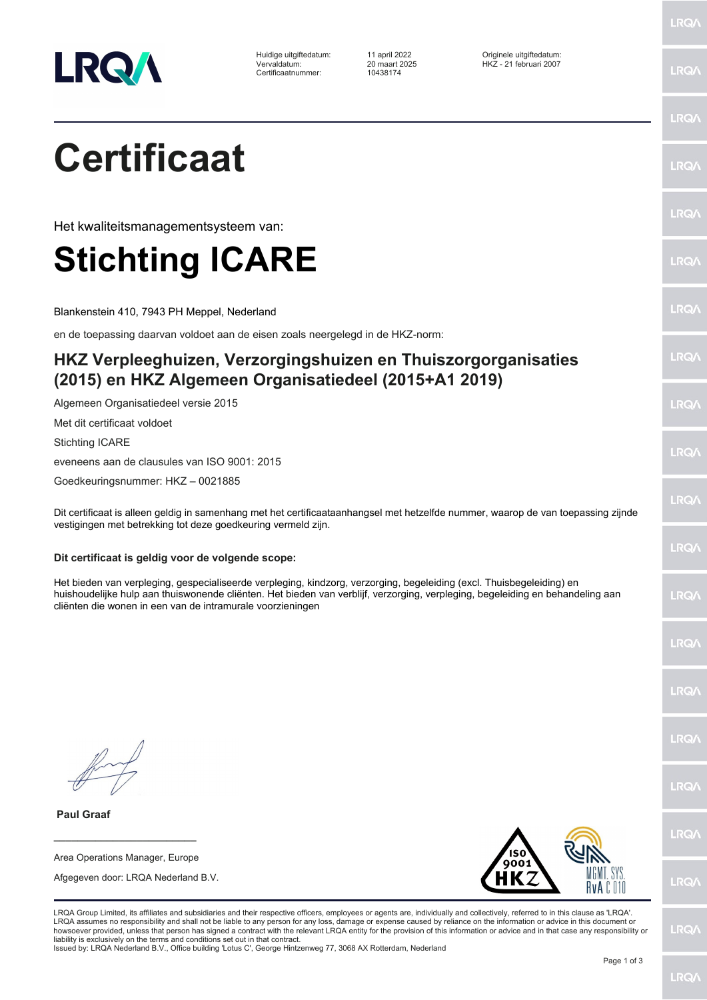

Huidige uitgiftedatum: 11 april 2022 Originele uitgiftedatum: 1980 maart 2002<br>Vervaldatum: 20 maart 2025 HKZ - 21 februari 2007<br>Certificaatnummer: 10438174 Certificaatnummer:

LRQ/

LRQ/

LRQ/

LRQ/

LRQ/

LRQ/

LRQ/

LRQ/

LRQ/

LRQ/

LRQ/

LRQ/

LRQ/

LRQ/

LRQ/

LRQ/

LRQ/

LRQ/

LRQ/

## **Certificaat**

Het kwaliteitsmanagementsysteem van:

## **Stichting ICARE**

Blankenstein 410, 7943 PH Meppel, Nederland

en de toepassing daarvan voldoet aan de eisen zoals neergelegd in de HKZ-norm:

## **HKZ Verpleeghuizen, Verzorgingshuizen en Thuiszorgorganisaties (2015) en HKZ Algemeen Organisatiedeel (2015+A1 2019)**

Algemeen Organisatiedeel versie 2015

Met dit certificaat voldoet

Stichting ICARE

eveneens aan de clausules van ISO 9001: 2015

Goedkeuringsnummer: HKZ – 0021885

Dit certificaat is alleen geldig in samenhang met het certificaataanhangsel met hetzelfde nummer, waarop de van toepassing zijnde vestigingen met betrekking tot deze goedkeuring vermeld zijn.

## **Dit certificaat is geldig voor de volgende scope:**

Het bieden van verpleging, gespecialiseerde verpleging, kindzorg, verzorging, begeleiding (excl. Thuisbegeleiding) en huishoudelijke hulp aan thuiswonende cliënten. Het bieden van verblijf, verzorging, verpleging, begeleiding en behandeling aan cliënten die wonen in een van de intramurale voorzieningen

 **Paul Graaf**

**\_\_\_\_\_\_\_\_\_\_\_\_\_\_\_\_\_\_\_\_\_\_\_\_** Area Operations Manager, Europe

Afgegeven door: LRQA Nederland B.V.



LRQ/

Issued by: LRQA Nederland B.V., Office building 'Lotus C', George Hintzenweg 77, 3068 AX Rotterdam, Nederland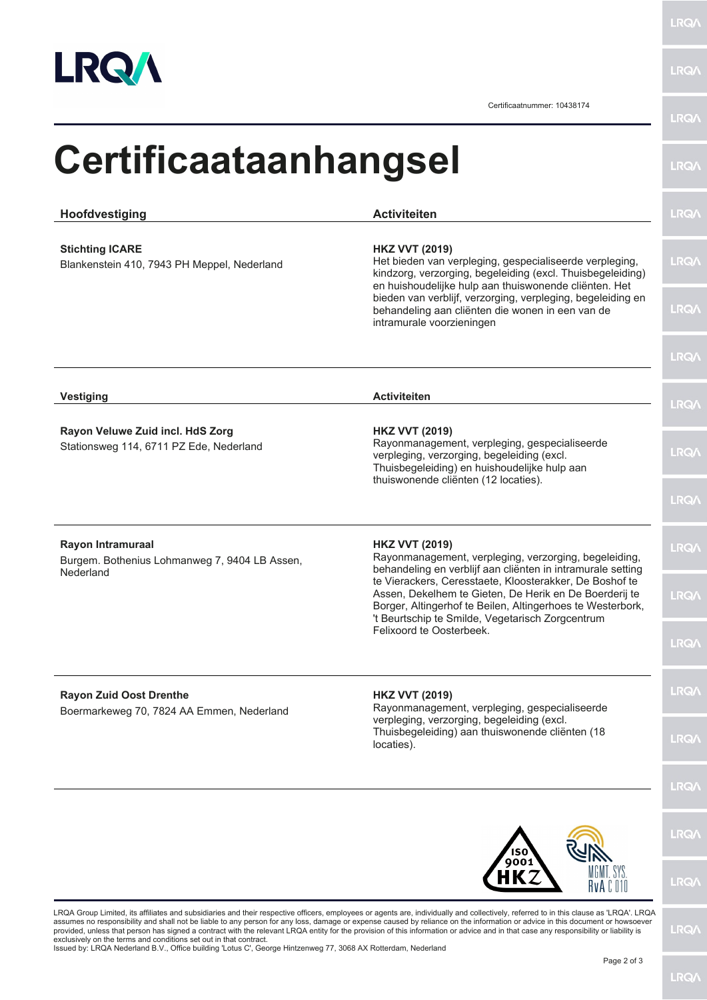

**LRQA** 

Certificaatnummer: 10438174

| Hoofdvestiging                                                                  | <b>Activiteiten</b>                                                                                                                                                                                                                 |
|---------------------------------------------------------------------------------|-------------------------------------------------------------------------------------------------------------------------------------------------------------------------------------------------------------------------------------|
| <b>Stichting ICARE</b><br>Blankenstein 410, 7943 PH Meppel, Nederland           | <b>HKZ VVT (2019)</b><br>Het bieden van verpleging, gespecialiseerde verpleging,<br>kindzorg, verzorging, begeleiding (excl. Thuisbegeleiding)<br>en huishoudelijke hulp aan thuiswonende cliënten. Het                             |
|                                                                                 | bieden van verblijf, verzorging, verpleging, begeleiding en<br>behandeling aan cliënten die wonen in een van de<br>intramurale voorzieningen                                                                                        |
|                                                                                 |                                                                                                                                                                                                                                     |
| <b>Vestiging</b>                                                                | <b>Activiteiten</b>                                                                                                                                                                                                                 |
| Rayon Veluwe Zuid incl. HdS Zorg<br>Stationsweg 114, 6711 PZ Ede, Nederland     | <b>HKZ VVT (2019)</b><br>Rayonmanagement, verpleging, gespecialiseerde<br>verpleging, verzorging, begeleiding (excl.<br>Thuisbegeleiding) en huishoudelijke hulp aan<br>thuiswonende cliënten (12 locaties).                        |
|                                                                                 |                                                                                                                                                                                                                                     |
| Rayon Intramuraal<br>Burgem. Bothenius Lohmanweg 7, 9404 LB Assen,<br>Nederland | <b>HKZ VVT (2019)</b><br>Rayonmanagement, verpleging, verzorging, begeleiding,<br>behandeling en verblijf aan cliënten in intramurale setting                                                                                       |
|                                                                                 | te Vierackers, Ceresstaete, Kloosterakker, De Boshof te<br>Assen, Dekelhem te Gieten, De Herik en De Boerderij te<br>Borger, Altingerhof te Beilen, Altingerhoes te Westerbork,<br>'t Beurtschip te Smilde, Vegetarisch Zorgcentrum |
|                                                                                 | Felixoord te Oosterbeek.                                                                                                                                                                                                            |
| <b>Rayon Zuid Oost Drenthe</b><br>Boermarkeweg 70, 7824 AA Emmen, Nederland     | <b>HKZ VVT (2019)</b><br>Rayonmanagement, verpleging, gespecialiseerde                                                                                                                                                              |
|                                                                                 | verpleging, verzorging, begeleiding (excl.<br>Thuisbegeleiding) aan thuiswonende cliënten (18<br>locaties).                                                                                                                         |
|                                                                                 |                                                                                                                                                                                                                                     |
|                                                                                 |                                                                                                                                                                                                                                     |
|                                                                                 | 9001<br>. SYS                                                                                                                                                                                                                       |

exclusively on the terms and conditions set out in that contract. Issued by: LRQA Nederland B.V., Office building 'Lotus C', George Hintzenweg 77, 3068 AX Rotterdam, Nederland